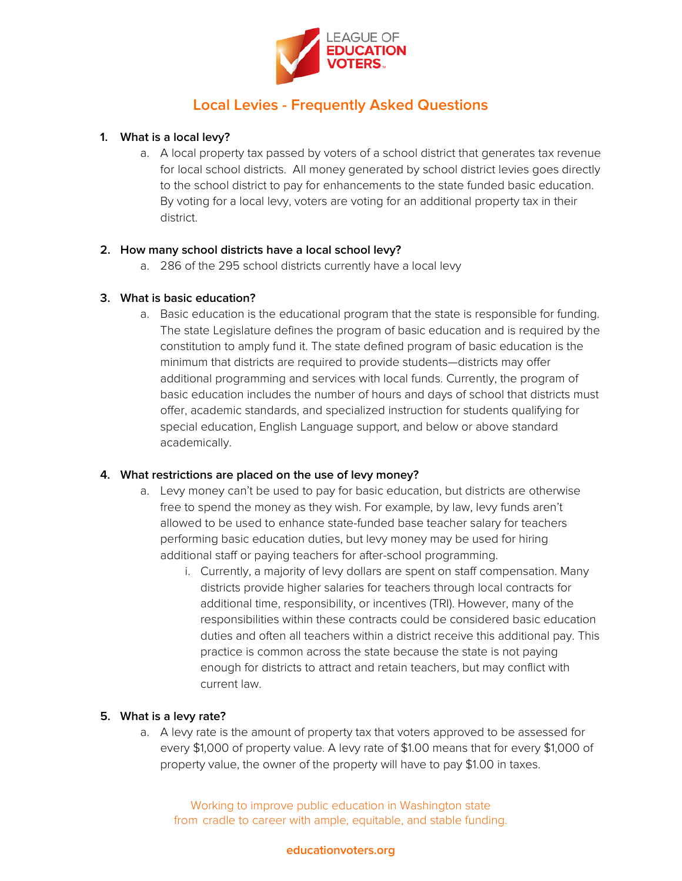

## **1. What is a local levy?**

a. A local property tax passed by voters of a school district that generates tax revenue for local school districts. All money generated by school district levies goes directly to the school district to pay for enhancements to the state funded basic education. By voting for a local levy, voters are voting for an additional property tax in their district.

## **2. How many school districts have a local school levy?**

a. 286 of the 295 school districts currently have a local levy

#### **3. What is basic education?**

a. Basic education is the educational program that the state is responsible for funding. The state Legislature defines the program of basic education and is required by the constitution to amply fund it. The state defined program of basic education is the minimum that districts are required to provide students—districts may offer additional programming and services with local funds. Currently, the program of basic education includes the number of hours and days of school that districts must offer, academic standards, and specialized instruction for students qualifying for special education, English Language support, and below or above standard academically.

#### **4. What restrictions are placed on the use of levy money?**

- a. Levy money can't be used to pay for basic education, but districts are otherwise free to spend the money as they wish. For example, by law, levy funds aren't allowed to be used to enhance state-funded base teacher salary for teachers performing basic education duties, but levy money may be used for hiring additional staff or paying teachers for after-school programming.
	- i. Currently, a majority of levy dollars are spent on staff compensation. Many districts provide higher salaries for teachers through local contracts for additional time, responsibility, or incentives (TRI). However, many of the responsibilities within these contracts could be considered basic education duties and often all teachers within a district receive this additional pay. This practice is common across the state because the state is not paying enough for districts to attract and retain teachers, but may conflict with current law.

## **5. What is a levy rate?**

a. A levy rate is the amount of property tax that voters approved to be assessed for every \$1,000 of property value. A levy rate of \$1.00 means that for every \$1,000 of property value, the owner of the property will have to pay \$1.00 in taxes.

Working to improve public education in Washington state from cradle to career with ample, equitable, and stable funding.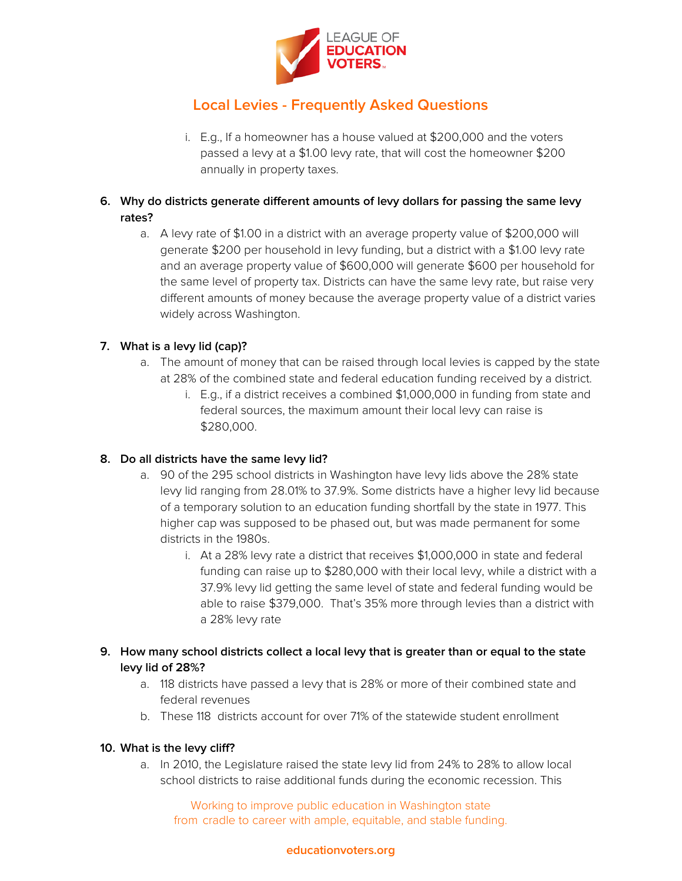

- i. E.g., If a homeowner has a house valued at \$200,000 and the voters passed a levy at a \$1.00 levy rate, that will cost the homeowner \$200 annually in property taxes.
- **6. Why do districts generate different amounts of levy dollars for passing the same levy rates?**
	- a. A levy rate of \$1.00 in a district with an average property value of \$200,000 will generate \$200 per household in levy funding, but a district with a \$1.00 levy rate and an average property value of \$600,000 will generate \$600 per household for the same level of property tax. Districts can have the same levy rate, but raise very different amounts of money because the average property value of a district varies widely across Washington.

## **7. What is a levy lid (cap)?**

- a. The amount of money that can be raised through local levies is capped by the state at 28% of the combined state and federal education funding received by a district.
	- i. E.g., if a district receives a combined \$1,000,000 in funding from state and federal sources, the maximum amount their local levy can raise is \$280,000.

## **8. Do all districts have the same levy lid?**

- a. 90 of the 295 school districts in Washington have levy lids above the 28% state levy lid ranging from 28.01% to 37.9%. Some districts have a higher levy lid because of a temporary solution to an education funding shortfall by the state in 1977. This higher cap was supposed to be phased out, but was made permanent for some districts in the 1980s.
	- i. At a 28% levy rate a district that receives \$1,000,000 in state and federal funding can raise up to \$280,000 with their local levy, while a district with a 37.9% levy lid getting the same level of state and federal funding would be able to raise \$379,000. That's 35% more through levies than a district with a 28% levy rate

## **9. How many school districts collect a local levy that is greater than or equal to the state levy lid of 28%?**

- a. 118 districts have passed a levy that is 28% or more of their combined state and federal revenues
- b. These 118 districts account for over 71% of the statewide student enrollment

## **10. What is the levy cliff?**

a. In 2010, the Legislature raised the state levy lid from 24% to 28% to allow local school districts to raise additional funds during the economic recession. This

Working to improve public education in Washington state from cradle to career with ample, equitable, and stable funding.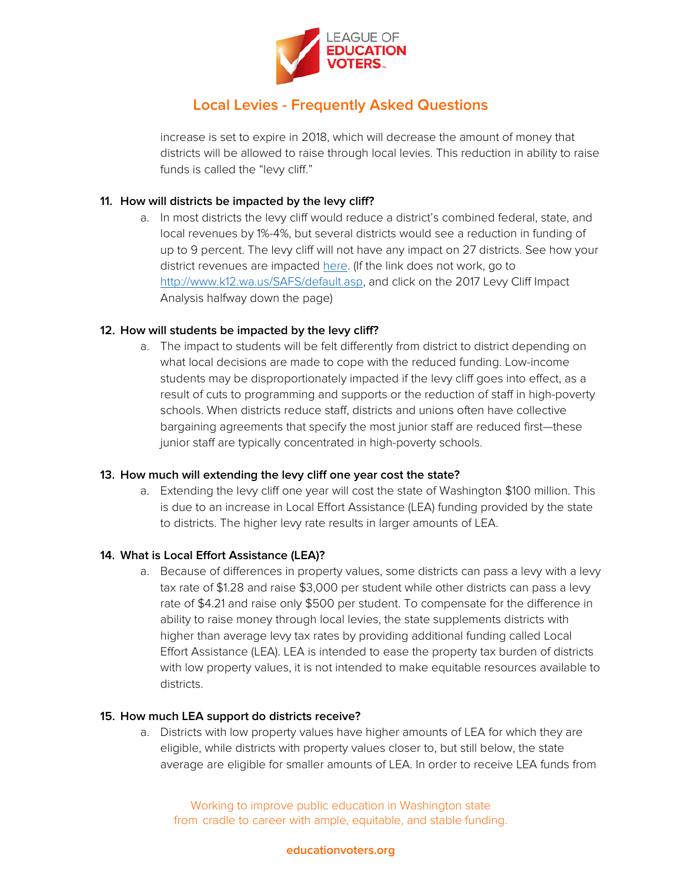

increase is set to expire in 2018, which will decrease the amount of money that districts will be allowed to raise through local levies. This reduction in ability to raise funds is called the "levy cliff."

### **11. How will districts be impacted by the levy cliff?**

a. In most districts the levy cliff would reduce a district's combined federal, state, and local revenues by 1%-4%, but several districts would see a reduction in funding of up to 9 percent. The levy cliff will not have any impact on 27 districts. See how your district revenues are impacted [here.](http://www.k12.wa.us/SAFS/Misc/2016-17/2017LevyCliffImpactAnalysis.xlsx) (If the link does not work, go to [http://www.k12.wa.us/SAFS/default.asp,](http://www.k12.wa.us/SAFS/default.asp) and click on the 2017 Levy Cliff Impact Analysis halfway down the page)

#### **12. How will students be impacted by the levy cliff?**

a. The impact to students will be felt differently from district to district depending on what local decisions are made to cope with the reduced funding. Low-income students may be disproportionately impacted if the levy cliff goes into effect, as a result of cuts to programming and supports or the reduction of staff in high-poverty schools. When districts reduce staff, districts and unions often have collective bargaining agreements that specify the most junior staff are reduced first—these junior staff are typically concentrated in high-poverty schools.

#### **13. How much will extending the levy cliff one year cost the state?**

a. Extending the levy cliff one year will cost the state of Washington \$100 million. This is due to an increase in Local Effort Assistance (LEA) funding provided by the state to districts. The higher levy rate results in larger amounts of LEA.

#### **14. What is Local Effort Assistance (LEA)?**

a. Because of differences in property values, some districts can pass a levy with a levy tax rate of \$1.28 and raise \$3,000 per student while other districts can pass a levy rate of \$4.21 and raise only \$500 per student. To compensate for the difference in ability to raise money through local levies, the state supplements districts with higher than average levy tax rates by providing additional funding called Local Effort Assistance (LEA). LEA is intended to ease the property tax burden of districts with low property values, it is not intended to make equitable resources available to districts.

#### **15. How much LEA support do districts receive?**

a. Districts with low property values have higher amounts of LEA for which they are eligible, while districts with property values closer to, but still below, the state average are eligible for smaller amounts of LEA. In order to receive LEA funds from

Working to improve public education in Washington state from cradle to career with ample, equitable, and stable funding.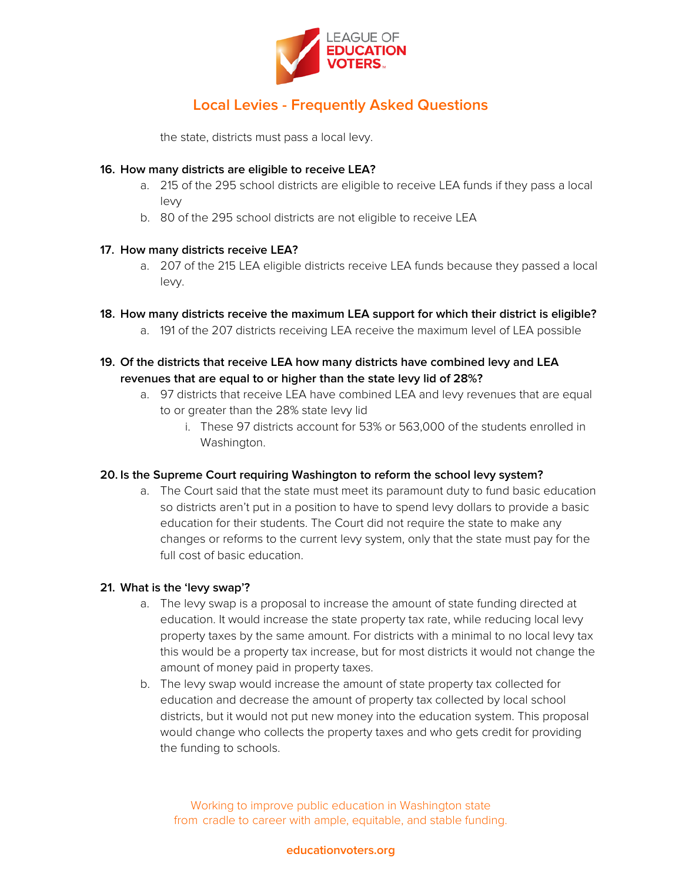

the state, districts must pass a local levy.

#### **16. How many districts are eligible to receive LEA?**

- a. 215 of the 295 school districts are eligible to receive LEA funds if they pass a local levy
- b. 80 of the 295 school districts are not eligible to receive LEA

#### **17. How many districts receive LEA?**

- a. 207 of the 215 LEA eligible districts receive LEA funds because they passed a local levy.
- **18. How many districts receive the maximum LEA support for which their district is eligible?**
	- a. 191 of the 207 districts receiving LEA receive the maximum level of LEA possible
- **19. Of the districts that receive LEA how many districts have combined levy and LEA revenues that are equal to or higher than the state levy lid of 28%?**
	- a. 97 districts that receive LEA have combined LEA and levy revenues that are equal to or greater than the 28% state levy lid
		- i. These 97 districts account for 53% or 563,000 of the students enrolled in Washington.

#### **20. Is the Supreme Court requiring Washington to reform the school levy system?**

a. The Court said that the state must meet its paramount duty to fund basic education so districts aren't put in a position to have to spend levy dollars to provide a basic education for their students. The Court did not require the state to make any changes or reforms to the current levy system, only that the state must pay for the full cost of basic education.

## **21. What is the 'levy swap'?**

- a. The levy swap is a proposal to increase the amount of state funding directed at education. It would increase the state property tax rate, while reducing local levy property taxes by the same amount. For districts with a minimal to no local levy tax this would be a property tax increase, but for most districts it would not change the amount of money paid in property taxes.
- b. The levy swap would increase the amount of state property tax collected for education and decrease the amount of property tax collected by local school districts, but it would not put new money into the education system. This proposal would change who collects the property taxes and who gets credit for providing the funding to schools.

Working to improve public education in Washington state from cradle to career with ample, equitable, and stable funding.